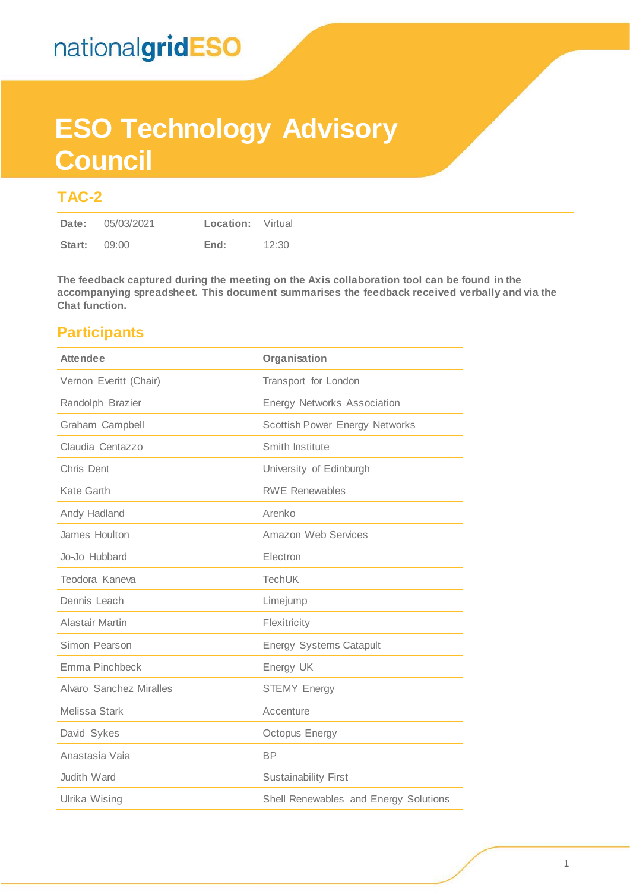# **ESO Technology Advisory Council**

### **TAC-2**

**The feedback captured during the meeting on the Axis collaboration tool can be found in the accompanying spreadsheet. This document summarises the feedback received verbally and via the Chat function.** 

### **Participants**

| <b>Attendee</b>         | Organisation                          |
|-------------------------|---------------------------------------|
| Vernon Everitt (Chair)  | Transport for London                  |
| Randolph Brazier        | <b>Energy Networks Association</b>    |
| Graham Campbell         | <b>Scottish Power Energy Networks</b> |
| Claudia Centazzo        | Smith Institute                       |
| Chris Dent              | University of Edinburgh               |
| Kate Garth              | <b>RWE Renewables</b>                 |
| Andy Hadland            | Arenko                                |
| James Houlton           | Amazon Web Services                   |
| Jo-Jo Hubbard           | Electron                              |
| Teodora Kaneva          | <b>TechUK</b>                         |
| Dennis Leach            | Limejump                              |
| <b>Alastair Martin</b>  | Flexitricity                          |
| Simon Pearson           | <b>Energy Systems Catapult</b>        |
| Emma Pinchbeck          | Energy UK                             |
| Alvaro Sanchez Miralles | <b>STEMY Energy</b>                   |
| <b>Melissa Stark</b>    | Accenture                             |
| David Sykes             | Octopus Energy                        |
| Anastasia Vaia          | <b>BP</b>                             |
| Judith Ward             | <b>Sustainability First</b>           |
| Ulrika Wising           | Shell Renewables and Energy Solutions |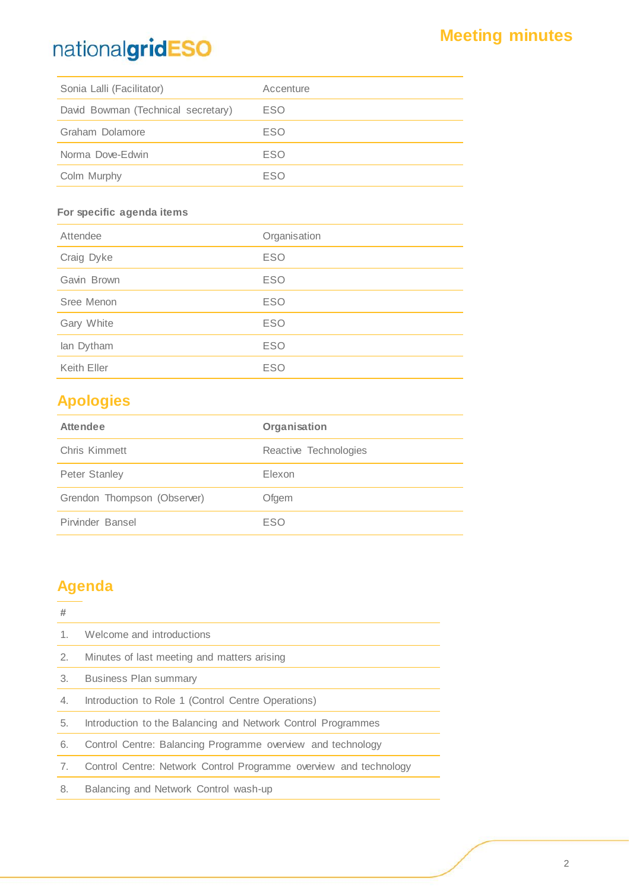| Sonia Lalli (Facilitator)          | Accenture  |
|------------------------------------|------------|
| David Bowman (Technical secretary) | ESO        |
| Graham Dolamore                    | <b>ESO</b> |
| Norma Dove-Edwin                   | <b>ESO</b> |
| Colm Murphy                        | ESO        |

#### **For specific agenda items**

| Attendee    | Organisation |  |  |
|-------------|--------------|--|--|
| Craig Dyke  | <b>ESO</b>   |  |  |
| Gavin Brown | <b>ESO</b>   |  |  |
| Sree Menon  | <b>ESO</b>   |  |  |
| Gary White  | <b>ESO</b>   |  |  |
| lan Dytham  | <b>ESO</b>   |  |  |
| Keith Eller | <b>ESO</b>   |  |  |

### **Apologies**

| <b>Attendee</b>             | Organisation          |
|-----------------------------|-----------------------|
| Chris Kimmett               | Reactive Technologies |
| <b>Peter Stanley</b>        | Elexon                |
| Grendon Thompson (Observer) | Ofgem                 |
| Pirvinder Bansel            | ESO                   |

### **Agenda**

## **#** 1. Welcome and introductions 2. Minutes of last meeting and matters arising 3. Business Plan summary 4. Introduction to Role 1 (Control Centre Operations) 5. Introduction to the Balancing and Network Control Programmes 6. Control Centre: Balancing Programme overview and technology 7. Control Centre: Network Control Programme overview and technology 8. Balancing and Network Control wash-up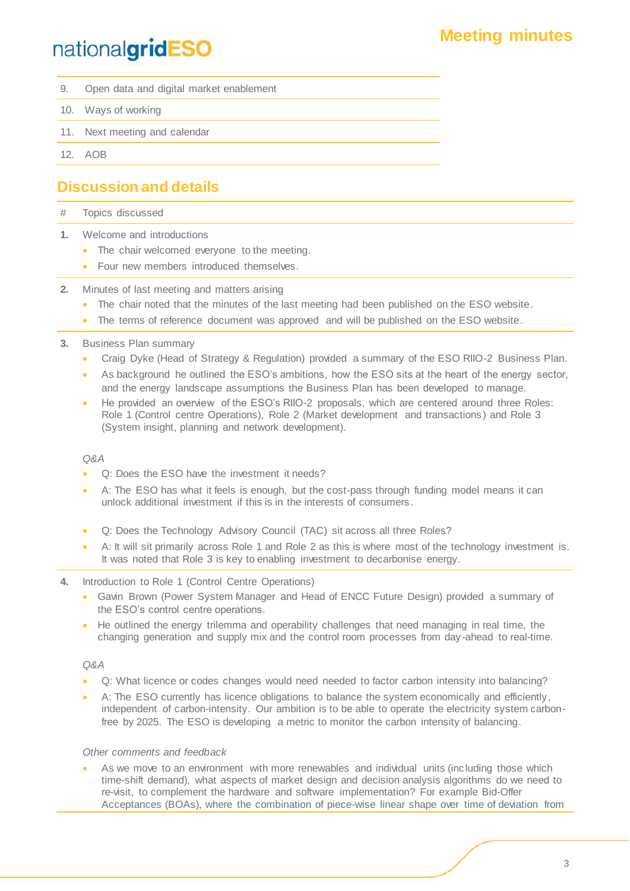### **Meeting minutes**

## nationalgridESO

- 9. Open data and digital market enablement
- 10. Ways of working
- 11. Next meeting and calendar
- 12. AOB

### **Discussion and details**

- # Topics discussed
- **1.** Welcome and introductions
	- The chair welcomed everyone to the meeting.
	- Four new members introduced themselves.
- **2.** Minutes of last meeting and matters arising
	- The chair noted that the minutes of the last meeting had been published on the ESO website.
	- The terms of reference document was approved and will be published on the ESO website.
- **3.** Business Plan summary
	- Craig Dyke (Head of Strategy & Regulation) provided a summary of the ESO RIIO-2 Business Plan.
	- As background he outlined the ESO's ambitions, how the ESO sits at the heart of the energy sector, and the energy landscape assumptions the Business Plan has been developed to manage.
	- He provided an overview of the ESO's RIIO-2 proposals, which are centered around three Roles: Role 1 (Control centre Operations), Role 2 (Market development and transactions ) and Role 3 (System insight, planning and network development).

#### *Q&A*

- Q: Does the ESO have the investment it needs?
- A: The ESO has what it feels is enough, but the cost-pass through funding model means it can unlock additional investment if this is in the interests of consumers.
- Q: Does the Technology Advisory Council (TAC) sit across all three Roles?
- A: It will sit primarily across Role 1 and Role 2 as this is where most of the technology investment is. It was noted that Role 3 is key to enabling investment to decarbonise energy.
- **4.** Introduction to Role 1 (Control Centre Operations)
	- Gavin Brown (Power System Manager and Head of ENCC Future Design) provided a summary of the ESO's control centre operations.
	- He outlined the energy trilemma and operability challenges that need managing in real time, the changing generation and supply mix and the control room processes from day -ahead to real-time.

#### *Q&A*

- Q: What licence or codes changes would need needed to factor carbon intensity into balancing?
- A: The ESO currently has licence obligations to balance the system economically and efficiently, independent of carbon-intensity. Our ambition is to be able to operate the electricity system carbonfree by 2025. The ESO is developing a metric to monitor the carbon intensity of balancing.

#### *Other comments and feedback*

As we move to an environment with more renewables and individual units (including those which time-shift demand), what aspects of market design and decision analysis algorithms do we need to re-visit, to complement the hardware and software implementation? For example Bid-Offer Acceptances (BOAs), where the combination of piece-wise linear shape over time of deviation from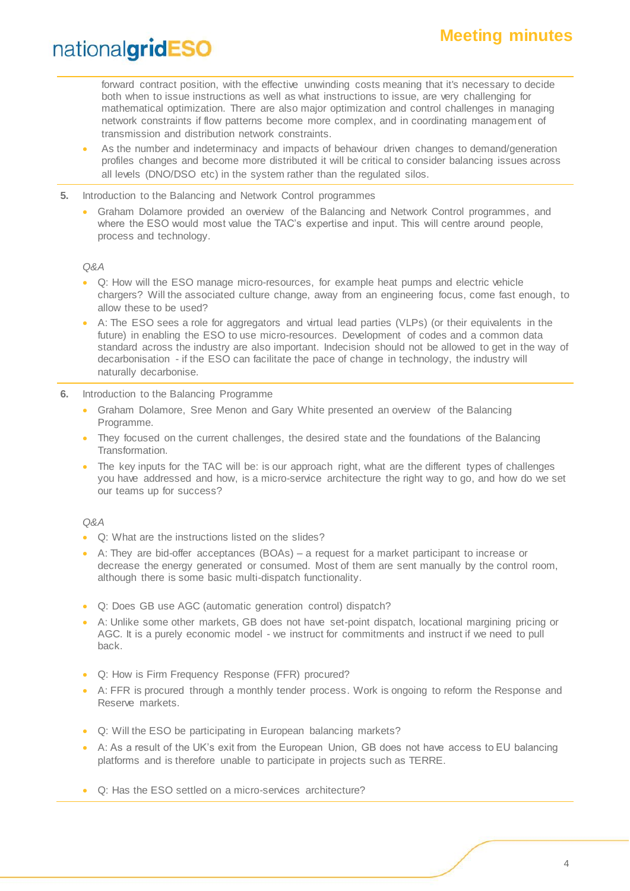forward contract position, with the effective unwinding costs meaning that it's necessary to decide both when to issue instructions as well as what instructions to issue, are very challenging for mathematical optimization. There are also major optimization and control challenges in managing network constraints if flow patterns become more complex, and in coordinating management of transmission and distribution network constraints.

- As the number and indeterminacy and impacts of behaviour driven changes to demand/generation profiles changes and become more distributed it will be critical to consider balancing issues across all levels (DNO/DSO etc) in the system rather than the regulated silos.
- **5.** Introduction to the Balancing and Network Control programmes
	- Graham Dolamore provided an overview of the Balancing and Network Control programmes, and where the ESO would most value the TAC's expertise and input. This will centre around people, process and technology.

#### *Q&A*

- Q: How will the ESO manage micro-resources, for example heat pumps and electric vehicle chargers? Will the associated culture change, away from an engineering focus, come fast enough, to allow these to be used?
- A: The ESO sees a role for aggregators and virtual lead parties (VLPs) (or their equivalents in the future) in enabling the ESO to use micro-resources. Development of codes and a common data standard across the industry are also important. Indecision should not be allowed to get in the way of decarbonisation - if the ESO can facilitate the pace of change in technology, the industry will naturally decarbonise.
- **6.** Introduction to the Balancing Programme
	- Graham Dolamore, Sree Menon and Gary White presented an overview of the Balancing Programme.
	- They focused on the current challenges, the desired state and the foundations of the Balancing Transformation.
	- The key inputs for the TAC will be: is our approach right, what are the different types of challenges you have addressed and how, is a micro-service architecture the right way to go, and how do we set our teams up for success?

#### *Q&A*

- Q: What are the instructions listed on the slides?
- A: They are bid-offer acceptances (BOAs) a request for a market participant to increase or decrease the energy generated or consumed. Most of them are sent manually by the control room, although there is some basic multi-dispatch functionality.
- Q: Does GB use AGC (automatic generation control) dispatch?
- A: Unlike some other markets, GB does not have set-point dispatch, locational margining pricing or AGC. It is a purely economic model - we instruct for commitments and instruct if we need to pull back.
- Q: How is Firm Frequency Response (FFR) procured?
- A: FFR is procured through a monthly tender process. Work is ongoing to reform the Response and Reserve markets.
- Q: Will the ESO be participating in European balancing markets?
- A: As a result of the UK's exit from the European Union, GB does not have access to EU balancing platforms and is therefore unable to participate in projects such as TERRE.
- Q: Has the ESO settled on a micro-services architecture?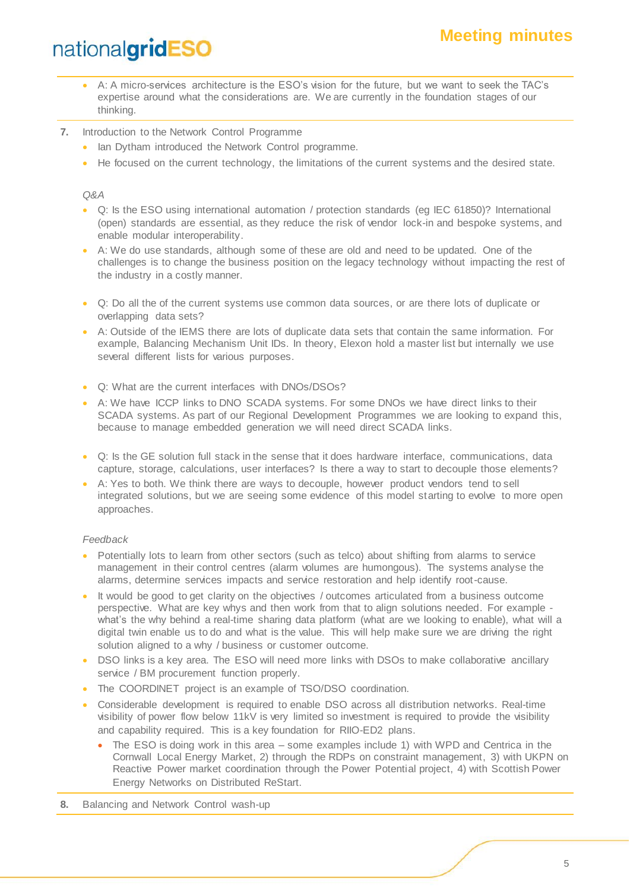## **Meeting minutes**

## nationalgridESO

- A: A micro-services architecture is the ESO's vision for the future, but we want to seek the TAC's expertise around what the considerations are. We are currently in the foundation stages of our thinking.
- **7.** Introduction to the Network Control Programme
	- Ian Dytham introduced the Network Control programme.
	- He focused on the current technology, the limitations of the current systems and the desired state.

#### *Q&A*

- Q: Is the ESO using international automation / protection standards (eg IEC 61850)? International (open) standards are essential, as they reduce the risk of vendor lock-in and bespoke systems, and enable modular interoperability.
- A: We do use standards, although some of these are old and need to be updated. One of the challenges is to change the business position on the legacy technology without impacting the rest of the industry in a costly manner.
- Q: Do all the of the current systems use common data sources, or are there lots of duplicate or overlapping data sets?
- A: Outside of the IEMS there are lots of duplicate data sets that contain the same information. For example, Balancing Mechanism Unit IDs. In theory, Elexon hold a master list but internally we use several different lists for various purposes.
- Q: What are the current interfaces with DNOs/DSOs?
- A: We have ICCP links to DNO SCADA systems. For some DNOs we have direct links to their SCADA systems. As part of our Regional Development Programmes we are looking to expand this, because to manage embedded generation we will need direct SCADA links.
- Q: Is the GE solution full stack in the sense that it does hardware interface, communications, data capture, storage, calculations, user interfaces? Is there a way to start to decouple those elements?
- A: Yes to both. We think there are ways to decouple, however product vendors tend to sell integrated solutions, but we are seeing some evidence of this model starting to evolve to more open approaches.

#### *Feedback*

- Potentially lots to learn from other sectors (such as telco) about shifting from alarms to service management in their control centres (alarm volumes are humongous). The systems analyse the alarms, determine services impacts and service restoration and help identify root-cause.
- It would be good to get clarity on the objectives / outcomes articulated from a business outcome perspective. What are key whys and then work from that to align solutions needed. For example what's the why behind a real-time sharing data platform (what are we looking to enable), what will a digital twin enable us to do and what is the value. This will help make sure we are driving the right solution aligned to a why / business or customer outcome.
- DSO links is a key area. The ESO will need more links with DSOs to make collaborative ancillary service / BM procurement function properly.
- The COORDINET project is an example of TSO/DSO coordination.
- Considerable development is required to enable DSO across all distribution networks. Real-time visibility of power flow below 11kV is very limited so investment is required to provide the visibility and capability required. This is a key foundation for RIIO-ED2 plans.
	- The ESO is doing work in this area some examples include 1) with WPD and Centrica in the Cornwall Local Energy Market, 2) through the RDPs on constraint management, 3) with UKPN on Reactive Power market coordination through the Power Potential project, 4) with Scottish Power Energy Networks on Distributed ReStart.
- **8.** Balancing and Network Control wash-up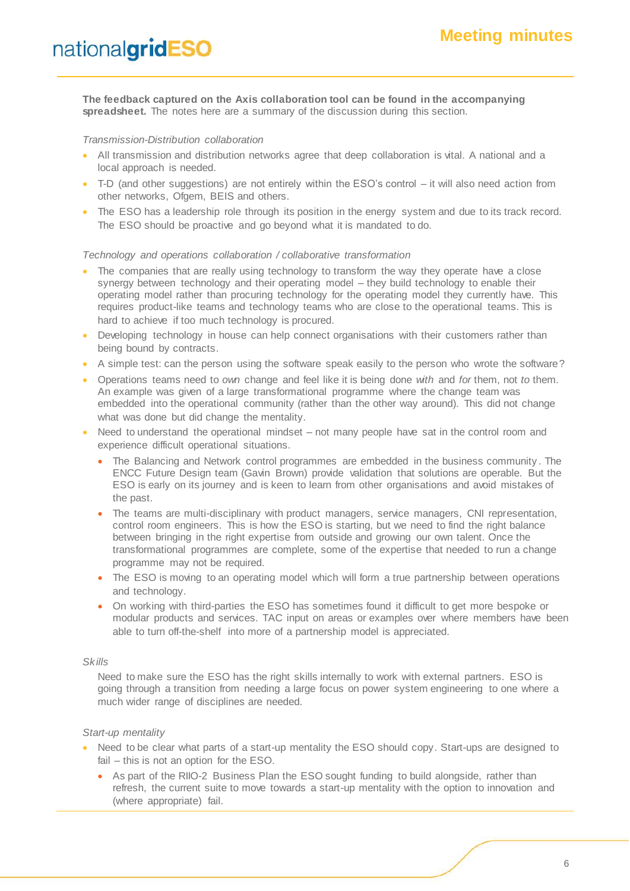**The feedback captured on the Axis collaboration tool can be found in the accompanying**  spreadsheet. The notes here are a summary of the discussion during this section.

#### *Transmission-Distribution collaboration*

- All transmission and distribution networks agree that deep collaboration is vital. A national and a local approach is needed.
- T-D (and other suggestions) are not entirely within the ESO's control it will also need action from other networks, Ofgem, BEIS and others.
- The ESO has a leadership role through its position in the energy system and due to its track record. The ESO should be proactive and go beyond what it is mandated to do.

#### *Technology and operations collaboration / collaborative transformation*

- The companies that are really using technology to transform the way they operate have a close synergy between technology and their operating model – they build technology to enable their operating model rather than procuring technology for the operating model they currently have. This requires product-like teams and technology teams who are close to the operational teams. This is hard to achieve if too much technology is procured.
- Developing technology in house can help connect organisations with their customers rather than being bound by contracts.
- A simple test: can the person using the software speak easily to the person who wrote the software?
- Operations teams need to *own* change and feel like it is being done *with* and *for* them, not *to* them. An example was given of a large transformational programme where the change team was embedded into the operational community (rather than the other way around). This did not change what was done but did change the mentality.
- Need to understand the operational mindset not many people have sat in the control room and experience difficult operational situations.
	- The Balancing and Network control programmes are embedded in the business community . The ENCC Future Design team (Gavin Brown) provide validation that solutions are operable. But the ESO is early on its journey and is keen to learn from other organisations and avoid mistakes of the past.
	- The teams are multi-disciplinary with product managers, service managers, CNI representation, control room engineers. This is how the ESO is starting, but we need to find the right balance between bringing in the right expertise from outside and growing our own talent. Once the transformational programmes are complete, some of the expertise that needed to run a change programme may not be required.
	- The ESO is moving to an operating model which will form a true partnership between operations and technology.
	- On working with third-parties the ESO has sometimes found it difficult to get more bespoke or modular products and services. TAC input on areas or examples over where members have been able to turn off-the-shelf into more of a partnership model is appreciated.

#### *Skills*

Need to make sure the ESO has the right skills internally to work with external partners. ESO is going through a transition from needing a large focus on power system engineering to one where a much wider range of disciplines are needed.

#### *Start-up mentality*

- Need to be clear what parts of a start-up mentality the ESO should copy. Start-ups are designed to fail – this is not an option for the ESO.
	- As part of the RIIO-2 Business Plan the ESO sought funding to build alongside, rather than refresh, the current suite to move towards a start-up mentality with the option to innovation and (where appropriate) fail.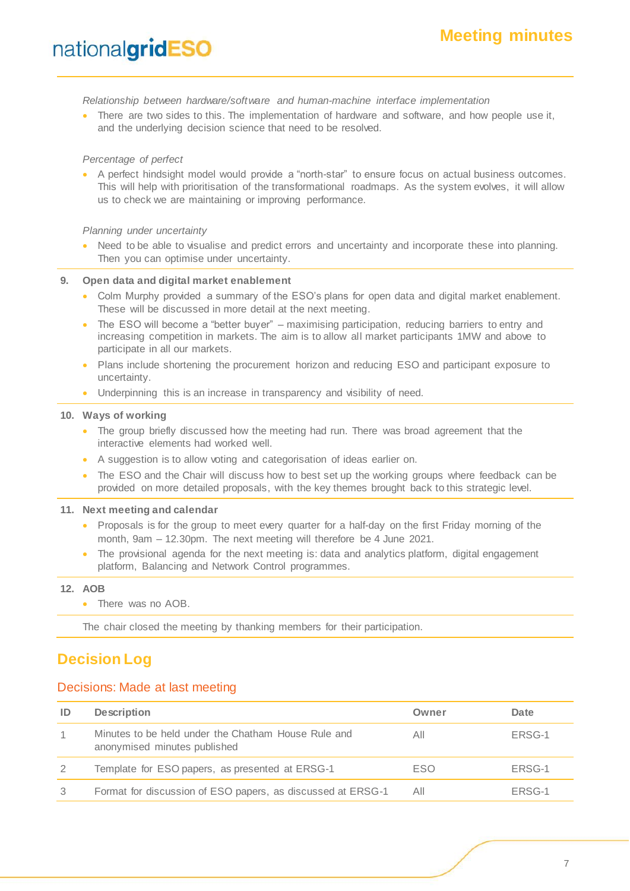*Relationship between hardware/software and human-machine interface implementation* 

There are two sides to this. The implementation of hardware and software, and how people use it, and the underlying decision science that need to be resolved.

#### *Percentage of perfect*

• A perfect hindsight model would provide a "north-star" to ensure focus on actual business outcomes. This will help with prioritisation of the transformational roadmaps. As the system evolves, it will allow us to check we are maintaining or improving performance.

*Planning under uncertainty*

Need to be able to visualise and predict errors and uncertainty and incorporate these into planning. Then you can optimise under uncertainty.

**9. Open data and digital market enablement**

- Colm Murphy provided a summary of the ESO's plans for open data and digital market enablement. These will be discussed in more detail at the next meeting.
- The ESO will become a "better buyer" maximising participation, reducing barriers to entry and increasing competition in markets. The aim is to allow all market participants 1MW and above to participate in all our markets.
- Plans include shortening the procurement horizon and reducing ESO and participant exposure to uncertainty.
- Underpinning this is an increase in transparency and visibility of need.

#### **10. Ways of working**

- The group briefly discussed how the meeting had run. There was broad agreement that the interactive elements had worked well.
- A suggestion is to allow voting and categorisation of ideas earlier on.
- The ESO and the Chair will discuss how to best set up the working groups where feedback can be provided on more detailed proposals, with the key themes brought back to this strategic level.

#### **11. Next meeting and calendar**

- Proposals is for the group to meet every quarter for a half-day on the first Friday morning of the month, 9am – 12.30pm. The next meeting will therefore be 4 June 2021.
- The provisional agenda for the next meeting is: data and analytics platform, digital engagement platform, Balancing and Network Control programmes.

#### **12. AOB**

• There was no AOB.

The chair closed the meeting by thanking members for their participation.

### **Decision Log**

#### Decisions: Made at last meeting

| ID | <b>Description</b>                                                                  | Owner      | Date   |
|----|-------------------------------------------------------------------------------------|------------|--------|
|    | Minutes to be held under the Chatham House Rule and<br>anonymised minutes published | All        | ERSG-1 |
|    | Template for ESO papers, as presented at ERSG-1                                     | <b>ESO</b> | ERSG-1 |
|    | Format for discussion of ESO papers, as discussed at ERSG-1                         | All        | ERSG-1 |